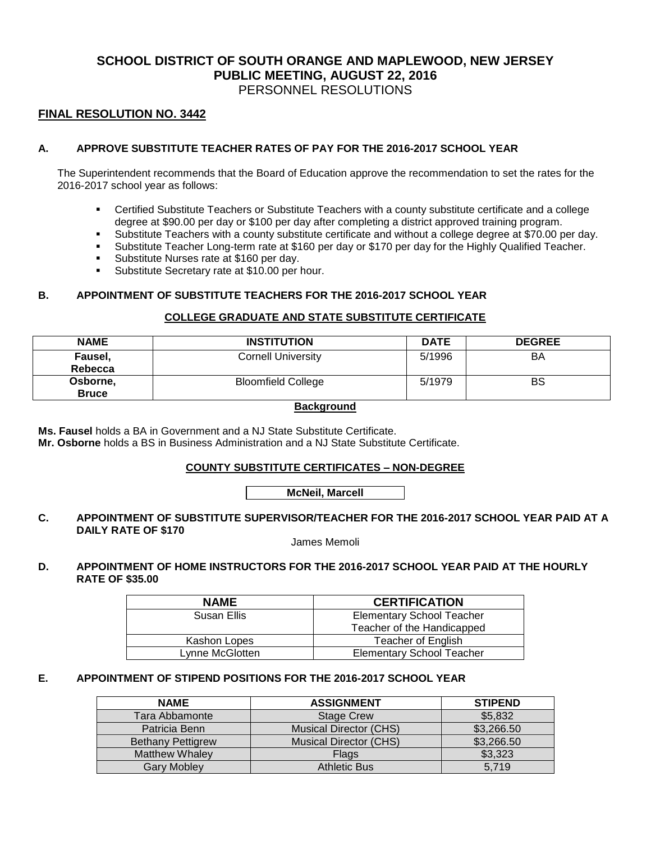# **SCHOOL DISTRICT OF SOUTH ORANGE AND MAPLEWOOD, NEW JERSEY PUBLIC MEETING, AUGUST 22, 2016** PERSONNEL RESOLUTIONS

# **FINAL RESOLUTION NO. 3442**

## **A. APPROVE SUBSTITUTE TEACHER RATES OF PAY FOR THE 2016-2017 SCHOOL YEAR**

The Superintendent recommends that the Board of Education approve the recommendation to set the rates for the 2016-2017 school year as follows:

- Certified Substitute Teachers or Substitute Teachers with a county substitute certificate and a college degree at \$90.00 per day or \$100 per day after completing a district approved training program.
- Substitute Teachers with a county substitute certificate and without a college degree at \$70.00 per day.<br>Substitute Teacher Long-term rate at \$160 per day or \$170 per day for the Highly Qualified Teacher
- Substitute Teacher Long-term rate at \$160 per day or \$170 per day for the Highly Qualified Teacher.
- Substitute Nurses rate at \$160 per day.
- **Substitute Secretary rate at \$10.00 per hour.**

#### **B. APPOINTMENT OF SUBSTITUTE TEACHERS FOR THE 2016-2017 SCHOOL YEAR**

#### **COLLEGE GRADUATE AND STATE SUBSTITUTE CERTIFICATE**

| <b>NAME</b>  | <b>INSTITUTION</b>        | <b>DATE</b> | <b>DEGREE</b> |
|--------------|---------------------------|-------------|---------------|
| Fausel,      | <b>Cornell University</b> | 5/1996      | BA            |
| Rebecca      |                           |             |               |
| Osborne,     | <b>Bloomfield College</b> | 5/1979      | BS            |
| <b>Bruce</b> |                           |             |               |

#### **Background**

**Ms. Fausel** holds a BA in Government and a NJ State Substitute Certificate. **Mr. Osborne** holds a BS in Business Administration and a NJ State Substitute Certificate.

#### **COUNTY SUBSTITUTE CERTIFICATES – NON-DEGREE**

**McNeil, Marcell**

#### **C. APPOINTMENT OF SUBSTITUTE SUPERVISOR/TEACHER FOR THE 2016-2017 SCHOOL YEAR PAID AT A DAILY RATE OF \$170**

James Memoli

## **D. APPOINTMENT OF HOME INSTRUCTORS FOR THE 2016-2017 SCHOOL YEAR PAID AT THE HOURLY RATE OF \$35.00**

| <b>NAME</b>     | <b>CERTIFICATION</b>             |  |
|-----------------|----------------------------------|--|
| Susan Ellis     | <b>Elementary School Teacher</b> |  |
|                 | Teacher of the Handicapped       |  |
| Kashon Lopes    | Teacher of English               |  |
| Lynne McGlotten | <b>Elementary School Teacher</b> |  |

#### **E. APPOINTMENT OF STIPEND POSITIONS FOR THE 2016-2017 SCHOOL YEAR**

| <b>NAME</b>              | <b>ASSIGNMENT</b>             | <b>STIPEND</b> |
|--------------------------|-------------------------------|----------------|
| Tara Abbamonte           | <b>Stage Crew</b>             | \$5,832        |
| Patricia Benn            | <b>Musical Director (CHS)</b> | \$3,266.50     |
| <b>Bethany Pettigrew</b> | <b>Musical Director (CHS)</b> | \$3,266.50     |
| <b>Matthew Whaley</b>    | Flags                         | \$3,323        |
| <b>Gary Mobley</b>       | <b>Athletic Bus</b>           | 5.719          |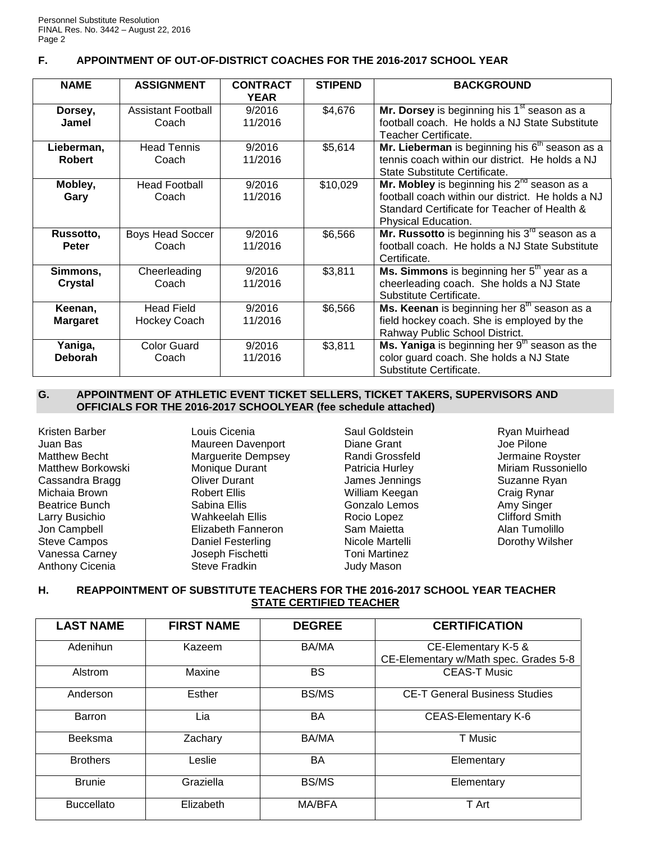## **F. APPOINTMENT OF OUT-OF-DISTRICT COACHES FOR THE 2016-2017 SCHOOL YEAR**

| <b>NAME</b>                 | <b>ASSIGNMENT</b>                 | <b>CONTRACT</b><br><b>YEAR</b> | <b>STIPEND</b> | <b>BACKGROUND</b>                                                                                                                                                            |
|-----------------------------|-----------------------------------|--------------------------------|----------------|------------------------------------------------------------------------------------------------------------------------------------------------------------------------------|
| Dorsey,<br>Jamel            | Assistant Football<br>Coach       | 9/2016<br>11/2016              | \$4,676        | Mr. Dorsey is beginning his 1 <sup>st</sup> season as a<br>football coach. He holds a NJ State Substitute<br>Teacher Certificate.                                            |
| Lieberman,<br><b>Robert</b> | <b>Head Tennis</b><br>Coach       | 9/2016<br>11/2016              | \$5,614        | Mr. Lieberman is beginning his $6th$ season as a<br>tennis coach within our district. He holds a NJ<br>State Substitute Certificate.                                         |
| Mobley,<br>Gary             | <b>Head Football</b><br>Coach     | 9/2016<br>11/2016              | \$10,029       | Mr. Mobley is beginning his $2^{nd}$ season as a<br>football coach within our district. He holds a NJ<br>Standard Certificate for Teacher of Health &<br>Physical Education. |
| Russotto,<br><b>Peter</b>   | <b>Boys Head Soccer</b><br>Coach  | 9/2016<br>11/2016              | \$6,566        | Mr. Russotto is beginning his $3^{r0}$ season as a<br>football coach. He holds a NJ State Substitute<br>Certificate.                                                         |
| Simmons,<br><b>Crystal</b>  | Cheerleading<br>Coach             | 9/2016<br>11/2016              | \$3,811        | Ms. Simmons is beginning her 5 <sup>th</sup> year as a<br>cheerleading coach. She holds a NJ State<br>Substitute Certificate.                                                |
| Keenan,<br><b>Margaret</b>  | <b>Head Field</b><br>Hockey Coach | 9/2016<br>11/2016              | \$6,566        | Ms. Keenan is beginning her $8th$ season as a<br>field hockey coach. She is employed by the<br>Rahway Public School District.                                                |
| Yaniga,<br><b>Deborah</b>   | Color Guard<br>Coach              | 9/2016<br>11/2016              | \$3,811        | <b>Ms. Yaniga</b> is beginning her $9th$ season as the<br>color guard coach. She holds a NJ State<br>Substitute Certificate.                                                 |

#### **G. APPOINTMENT OF ATHLETIC EVENT TICKET SELLERS, TICKET TAKERS, SUPERVISORS AND OFFICIALS FOR THE 2016-2017 SCHOOLYEAR (fee schedule attached)**

Kristen Barber Juan Bas Matthew Becht Matthew Borkowski Cassandra Bragg Michaia Brown Beatrice Bunch Larry Busichio Jon Campbell Steve Campos Vanessa Carney Anthony Cicenia

Louis Cicenia Maureen Davenport Marguerite Dempsey Monique Durant Oliver Durant Robert Ellis Sabina Ellis Wahkeelah Ellis Elizabeth Fanneron Daniel Festerling Joseph Fischetti Steve Fradkin

Saul Goldstein Diane Grant Randi Grossfeld Patricia Hurley James Jennings William Keegan Gonzalo Lemos Rocio Lopez Sam Maietta Nicole Martelli Toni Martinez Judy Mason

Ryan Muirhead Joe Pilone Jermaine Royster Miriam Russoniello Suzanne Ryan Craig Rynar Amy Singer Clifford Smith Alan Tumolillo Dorothy Wilsher

# **H. REAPPOINTMENT OF SUBSTITUTE TEACHERS FOR THE 2016-2017 SCHOOL YEAR TEACHER STATE CERTIFIED TEACHER**

| <b>LAST NAME</b>  | <b>FIRST NAME</b> | <b>DEGREE</b> | <b>CERTIFICATION</b>                                         |
|-------------------|-------------------|---------------|--------------------------------------------------------------|
| Adenihun          | Kazeem            | BA/MA         | CE-Elementary K-5 &<br>CE-Elementary w/Math spec. Grades 5-8 |
| Alstrom           | Maxine            | BS            | <b>CEAS-T Music</b>                                          |
| Anderson          | Esther            | <b>BS/MS</b>  | <b>CE-T General Business Studies</b>                         |
| Barron            | Lia               | BA            | <b>CEAS-Elementary K-6</b>                                   |
| <b>Beeksma</b>    | Zachary           | <b>BA/MA</b>  | T Music                                                      |
| <b>Brothers</b>   | Leslie            | BA            | Elementary                                                   |
| <b>Brunie</b>     | Graziella         | <b>BS/MS</b>  | Elementary                                                   |
| <b>Buccellato</b> | Elizabeth         | MA/BFA        | T Art                                                        |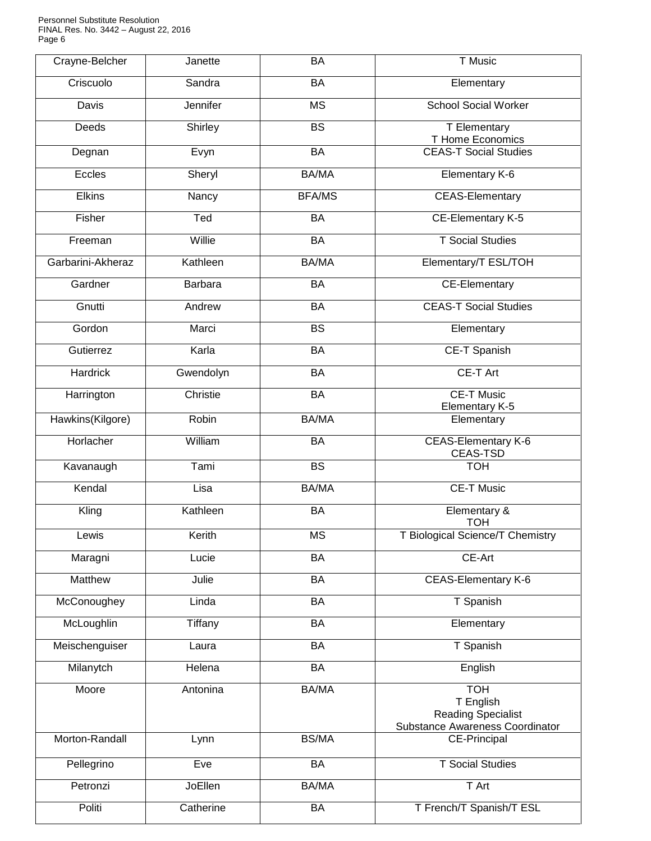Personnel Substitute Resolution FINAL Res. No. 3442 – August 22, 2016 Page 6

| Crayne-Belcher    | Janette        | <b>BA</b>              | T Music                                                                                 |
|-------------------|----------------|------------------------|-----------------------------------------------------------------------------------------|
| Criscuolo         | Sandra         | BA                     | Elementary                                                                              |
| Davis             | Jennifer       | $\overline{\text{MS}}$ | <b>School Social Worker</b>                                                             |
| Deeds             | Shirley        | <b>BS</b>              | T Elementary<br><b>T Home Economics</b>                                                 |
| Degnan            | Evyn           | <b>BA</b>              | <b>CEAS-T Social Studies</b>                                                            |
| Eccles            | Sheryl         | <b>BA/MA</b>           | <b>Elementary K-6</b>                                                                   |
| <b>Elkins</b>     | Nancy          | <b>BFA/MS</b>          | <b>CEAS-Elementary</b>                                                                  |
| Fisher            | Ted            | <b>BA</b>              | CE-Elementary K-5                                                                       |
| Freeman           | Willie         | <b>BA</b>              | <b>T</b> Social Studies                                                                 |
| Garbarini-Akheraz | Kathleen       | <b>BA/MA</b>           | Elementary/T ESL/TOH                                                                    |
| Gardner           | <b>Barbara</b> | BA                     | <b>CE-Elementary</b>                                                                    |
| Gnutti            | Andrew         | BA                     | <b>CEAS-T Social Studies</b>                                                            |
| Gordon            | Marci          | $\overline{BS}$        | Elementary                                                                              |
| Gutierrez         | Karla          | BA                     | CE-T Spanish                                                                            |
| Hardrick          | Gwendolyn      | <b>BA</b>              | <b>CE-T Art</b>                                                                         |
| Harrington        | Christie       | <b>BA</b>              | <b>CE-T Music</b><br>Elementary K-5                                                     |
| Hawkins(Kilgore)  | Robin          | BA/MA                  | Elementary                                                                              |
| Horlacher         | William        | <b>BA</b>              | <b>CEAS-Elementary K-6</b><br>CEAS-TSD                                                  |
| Kavanaugh         | Tami           | <b>BS</b>              | <b>TOH</b>                                                                              |
| Kendal            | Lisa           | BA/MA                  | <b>CE-T Music</b>                                                                       |
| Kling             | Kathleen       | BA                     | Elementary &<br><b>TOH</b>                                                              |
| Lewis             | Kerith         | ΜS                     | T Biological Science/T Chemistry                                                        |
| Maragni           | Lucie          | BA                     | CE-Art                                                                                  |
| Matthew           | Julie          | BA                     | <b>CEAS-Elementary K-6</b>                                                              |
| McConoughey       | Linda          | BA                     | T Spanish                                                                               |
| McLoughlin        | Tiffany        | <b>BA</b>              | Elementary                                                                              |
| Meischenguiser    | Laura          | <b>BA</b>              | T Spanish                                                                               |
| Milanytch         | Helena         | BA                     | English                                                                                 |
| Moore             | Antonina       | <b>BA/MA</b>           | <b>TOH</b><br>T English<br><b>Reading Specialist</b><br>Substance Awareness Coordinator |
| Morton-Randall    | Lynn           | <b>BS/MA</b>           | <b>CE-Principal</b>                                                                     |
| Pellegrino        | Eve            | BA                     | <b>T</b> Social Studies                                                                 |
| Petronzi          | JoEllen        | <b>BA/MA</b>           | T Art                                                                                   |
| Politi            | Catherine      | BA                     | T French/T Spanish/T ESL                                                                |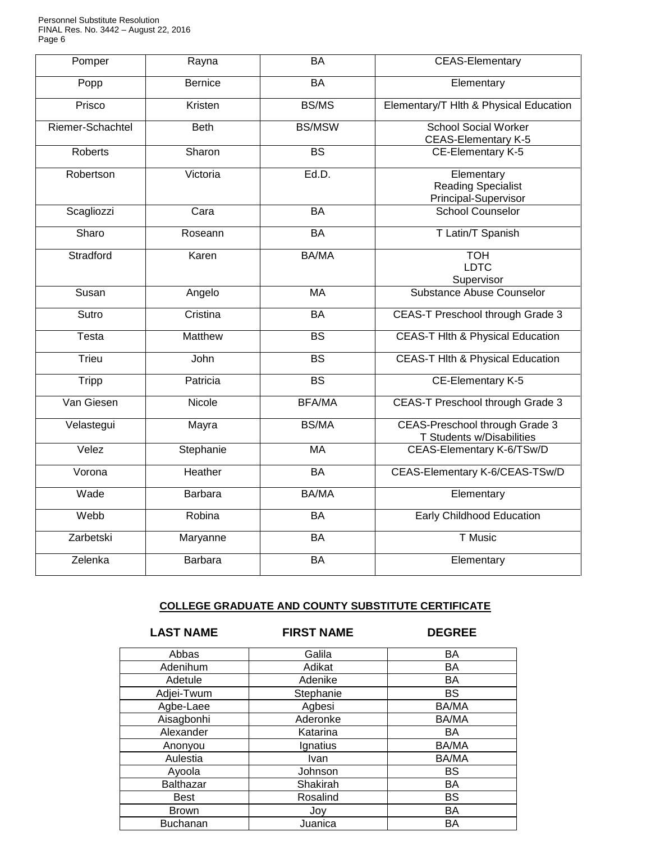Personnel Substitute Resolution FINAL Res. No. 3442 – August 22, 2016 Page 6

| Pomper           | Rayna          | <b>BA</b>                | <b>CEAS-Elementary</b>                                             |
|------------------|----------------|--------------------------|--------------------------------------------------------------------|
| Popp             | <b>Bernice</b> | BA                       | Elementary                                                         |
| Prisco           | Kristen        | BS/MS                    | Elementary/T Hlth & Physical Education                             |
| Riemer-Schachtel | <b>Beth</b>    | <b>BS/MSW</b>            | <b>School Social Worker</b><br><b>CEAS-Elementary K-5</b>          |
| Roberts          | Sharon         | $\overline{\mathsf{BS}}$ | CE-Elementary K-5                                                  |
| Robertson        | Victoria       | Ed.D.                    | Elementary<br><b>Reading Specialist</b><br>Principal-Supervisor    |
| Scagliozzi       | Cara           | BA                       | School Counselor                                                   |
| Sharo            | Roseann        | BA                       | T Latin/T Spanish                                                  |
| Stradford        | Karen          | BA/MA                    | <b>TOH</b><br><b>LDTC</b><br>Supervisor                            |
| Susan            | Angelo         | <b>MA</b>                | Substance Abuse Counselor                                          |
| Sutro            | Cristina       | BA                       | <b>CEAS-T Preschool through Grade 3</b>                            |
| Testa            | Matthew        | <b>BS</b>                | <b>CEAS-T HIth &amp; Physical Education</b>                        |
| Trieu            | John           | $\overline{\mathsf{BS}}$ | <b>CEAS-T HIth &amp; Physical Education</b>                        |
| Tripp            | Patricia       | $\overline{BS}$          | CE-Elementary K-5                                                  |
| Van Giesen       | Nicole         | <b>BFA/MA</b>            | CEAS-T Preschool through Grade 3                                   |
| Velastegui       | Mayra          | <b>BS/MA</b>             | <b>CEAS-Preschool through Grade 3</b><br>T Students w/Disabilities |
| Velez            | Stephanie      | <b>MA</b>                | CEAS-Elementary K-6/TSw/D                                          |
| Vorona           | Heather        | BA                       | CEAS-Elementary K-6/CEAS-TSw/D                                     |
| Wade             | <b>Barbara</b> | BA/MA                    | Elementary                                                         |
| Webb             | Robina         | <b>BA</b>                | Early Childhood Education                                          |
| Zarbetski        | Maryanne       | <b>BA</b>                | <b>T</b> Music                                                     |
| Zelenka          | Barbara        | BA                       | Elementary                                                         |

## **COLLEGE GRADUATE AND COUNTY SUBSTITUTE CERTIFICATE**

**LAST NAME FIRST NAME DEGREE**

| Abbas        | Galila      | BA        |
|--------------|-------------|-----------|
| Adenihum     | Adikat      | BA        |
| Adetule      | Adenike     | BA        |
| Adjei-Twum   | Stephanie   | <b>BS</b> |
| Agbe-Laee    | Agbesi      | BA/MA     |
| Aisagbonhi   | Aderonke    | BA/MA     |
| Alexander    | Katarina    | <b>BA</b> |
| Anonyou      | Ignatius    | BA/MA     |
| Aulestia     | <b>Ivan</b> | BA/MA     |
| Ayoola       | Johnson     | <b>BS</b> |
| Balthazar    | Shakirah    | BA        |
| <b>Best</b>  | Rosalind    | <b>BS</b> |
| <b>Brown</b> | Joy         | BA        |
| Buchanan     | Juanica     | <b>BA</b> |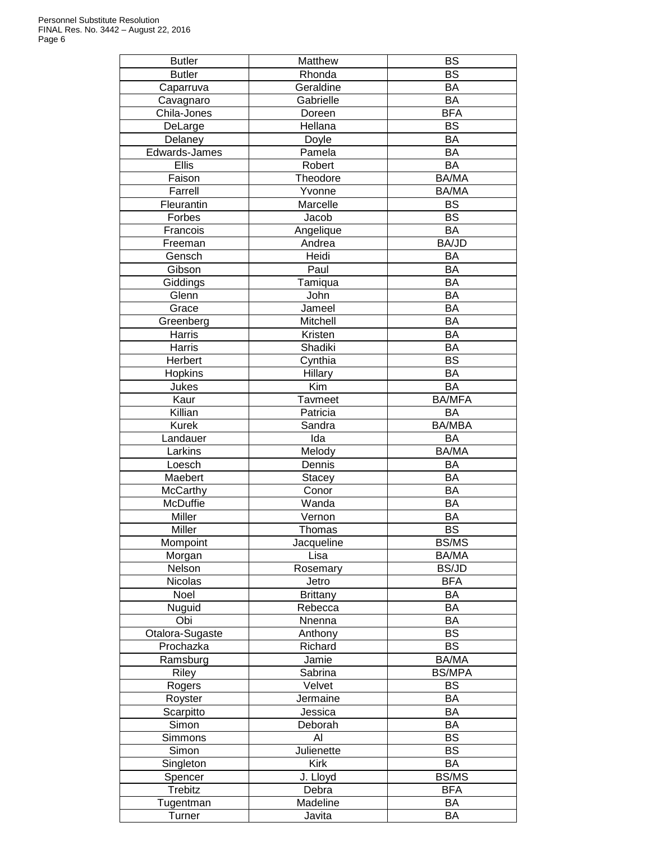| <b>Butler</b>   | Matthew         | <b>BS</b>       |
|-----------------|-----------------|-----------------|
| <b>Butler</b>   | Rhonda          | <b>BS</b>       |
| Caparruva       | Geraldine       | <b>BA</b>       |
| Cavagnaro       | Gabrielle       | BA              |
| Chila-Jones     | Doreen          | <b>BFA</b>      |
| DeLarge         | Hellana         | <b>BS</b>       |
| Delaney         | Doyle           | <b>BA</b>       |
| Edwards-James   | Pamela          | BA              |
| Ellis           | Robert          | <b>BA</b>       |
| Faison          | Theodore        | BA/MA           |
| Farrell         | Yvonne          | BA/MA           |
| Fleurantin      | Marcelle        | <b>BS</b>       |
| Forbes          | Jacob           | <b>BS</b>       |
| Francois        | Angelique       | <b>BA</b>       |
| Freeman         | Andrea          | BA/JD           |
| Gensch          | Heidi           | <b>BA</b>       |
| Gibson          | Paul            | <b>BA</b>       |
| Giddings        | Tamiqua         | <b>BA</b>       |
| Glenn           | John            | <b>BA</b>       |
| Grace           | Jameel          | BA              |
| Greenberg       | Mitchell        | <b>BA</b>       |
| Harris          | Kristen         | <b>BA</b>       |
| Harris          | Shadiki         | <b>BA</b>       |
| Herbert         | Cynthia         | <b>BS</b>       |
| Hopkins         | Hillary         | <b>BA</b>       |
| Jukes           | Kim             | <b>BA</b>       |
|                 |                 |                 |
| Kaur            | Tavmeet         | <b>BA/MFA</b>   |
| Killian         | Patricia        | <b>BA</b>       |
| Kurek           | Sandra          | <b>BA/MBA</b>   |
| Landauer        | Ida             | BA              |
| Larkins         | Melody          | BA/MA           |
| Loesch          | Dennis          | BA              |
| Maebert         | <b>Stacey</b>   | BA              |
| McCarthy        | Conor           | BA              |
| McDuffie        | Wanda           | BA              |
| Miller          | Vernon          | <b>BA</b>       |
| Miller          | Thomas          | <b>BS</b>       |
| Mompoint        | Jacqueline      | <b>BS/MS</b>    |
| Morgan          | Lisa            | BA/MA           |
| Nelson          | Rosemary        | <b>BS/JD</b>    |
| Nicolas         | Jetro           | <b>BFA</b>      |
| Noel            | <b>Brittany</b> | BA              |
| Nuguid          | Rebecca         | BA              |
| Obi             | Nnenna          | BA              |
| Otalora-Sugaste | Anthony         | $\overline{BS}$ |
| Prochazka       | Richard         | <b>BS</b>       |
| Ramsburg        | Jamie           | BA/MA           |
| Riley           | Sabrina         | <b>BS/MPA</b>   |
| Rogers          | Velvet          | <b>BS</b>       |
| Royster         | Jermaine        | BA              |
| Scarpitto       | Jessica         | <b>BA</b>       |
| Simon           | Deborah         | <b>BA</b>       |
| Simmons         | Al              | <b>BS</b>       |
| Simon           | Julienette      | <b>BS</b>       |
| Singleton       | Kirk            | BA              |
| Spencer         | J. Lloyd        | <b>BS/MS</b>    |
| Trebitz         | Debra           | <b>BFA</b>      |
| Tugentman       | Madeline        | BA              |
| Turner          | Javita          | BA              |
|                 |                 |                 |